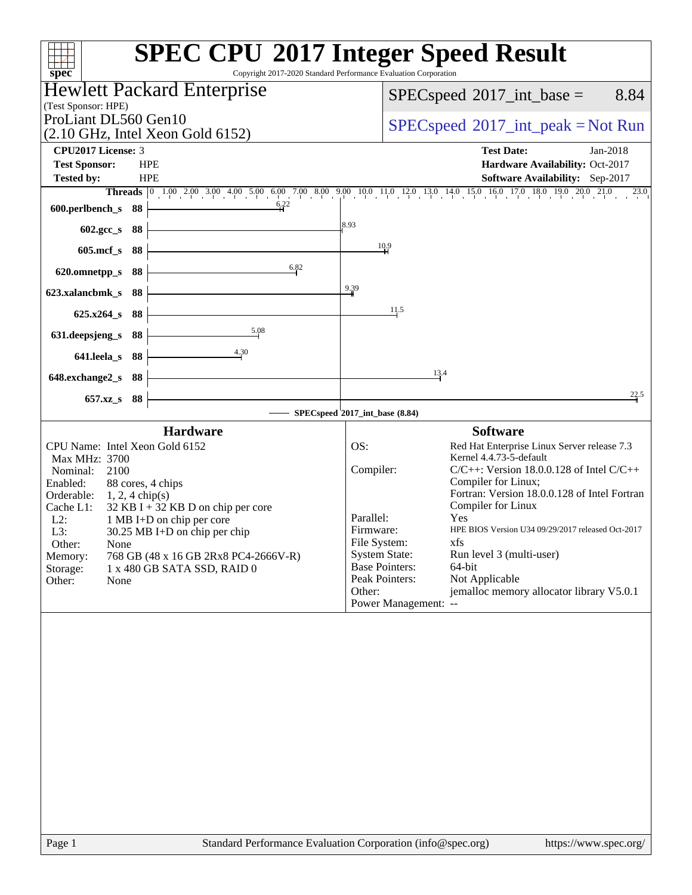| Copyright 2017-2020 Standard Performance Evaluation Corporation<br>$spec^*$                                                                                                                                                                                                                                                                                                                                                        | <b>SPEC CPU®2017 Integer Speed Result</b>                                                                                                                                                                                                                                                                                                                                                                                                                                                                                                                                         |
|------------------------------------------------------------------------------------------------------------------------------------------------------------------------------------------------------------------------------------------------------------------------------------------------------------------------------------------------------------------------------------------------------------------------------------|-----------------------------------------------------------------------------------------------------------------------------------------------------------------------------------------------------------------------------------------------------------------------------------------------------------------------------------------------------------------------------------------------------------------------------------------------------------------------------------------------------------------------------------------------------------------------------------|
| <b>Hewlett Packard Enterprise</b>                                                                                                                                                                                                                                                                                                                                                                                                  | $SPEC speed^{\circ}2017\_int\_base =$<br>8.84                                                                                                                                                                                                                                                                                                                                                                                                                                                                                                                                     |
| (Test Sponsor: HPE)                                                                                                                                                                                                                                                                                                                                                                                                                |                                                                                                                                                                                                                                                                                                                                                                                                                                                                                                                                                                                   |
| ProLiant DL560 Gen10<br>(2.10 GHz, Intel Xeon Gold 6152)                                                                                                                                                                                                                                                                                                                                                                           | $SPEC speed^{\circ}2017\_int\_peak = Not Run$                                                                                                                                                                                                                                                                                                                                                                                                                                                                                                                                     |
| CPU2017 License: 3                                                                                                                                                                                                                                                                                                                                                                                                                 | <b>Test Date:</b><br>Jan-2018                                                                                                                                                                                                                                                                                                                                                                                                                                                                                                                                                     |
| <b>Test Sponsor:</b><br><b>HPE</b>                                                                                                                                                                                                                                                                                                                                                                                                 | Hardware Availability: Oct-2017                                                                                                                                                                                                                                                                                                                                                                                                                                                                                                                                                   |
| <b>Tested by:</b><br><b>HPE</b>                                                                                                                                                                                                                                                                                                                                                                                                    | <b>Software Availability:</b> Sep-2017                                                                                                                                                                                                                                                                                                                                                                                                                                                                                                                                            |
| 6,22<br>600.perlbench_s 88                                                                                                                                                                                                                                                                                                                                                                                                         | Threads 0 1.00 2.00 3.00 4.00 5.00 6.00 7.00 8.00 9.00 10.0 11.0 12.0 13.0 14.0 15.0 16.0 17.0 18.0 19.0 20.0 21.0<br>23.0                                                                                                                                                                                                                                                                                                                                                                                                                                                        |
|                                                                                                                                                                                                                                                                                                                                                                                                                                    | 8.93                                                                                                                                                                                                                                                                                                                                                                                                                                                                                                                                                                              |
| 602.gcc_s 88                                                                                                                                                                                                                                                                                                                                                                                                                       |                                                                                                                                                                                                                                                                                                                                                                                                                                                                                                                                                                                   |
| $605$ .mcf_s<br>- 88                                                                                                                                                                                                                                                                                                                                                                                                               | $\frac{10.9}{1}$                                                                                                                                                                                                                                                                                                                                                                                                                                                                                                                                                                  |
| 6.82<br>620.omnetpp_s<br>88                                                                                                                                                                                                                                                                                                                                                                                                        |                                                                                                                                                                                                                                                                                                                                                                                                                                                                                                                                                                                   |
| 88<br>623.xalancbmk_s                                                                                                                                                                                                                                                                                                                                                                                                              | 9.39                                                                                                                                                                                                                                                                                                                                                                                                                                                                                                                                                                              |
| - 88<br>$625.x264_s$                                                                                                                                                                                                                                                                                                                                                                                                               | 11.5                                                                                                                                                                                                                                                                                                                                                                                                                                                                                                                                                                              |
| 5.08<br>631.deepsjeng_s<br>88                                                                                                                                                                                                                                                                                                                                                                                                      |                                                                                                                                                                                                                                                                                                                                                                                                                                                                                                                                                                                   |
| 4.30<br>641.leela_s 88                                                                                                                                                                                                                                                                                                                                                                                                             |                                                                                                                                                                                                                                                                                                                                                                                                                                                                                                                                                                                   |
|                                                                                                                                                                                                                                                                                                                                                                                                                                    | 13.4                                                                                                                                                                                                                                                                                                                                                                                                                                                                                                                                                                              |
| 648.exchange2_s 88                                                                                                                                                                                                                                                                                                                                                                                                                 | 22.5                                                                                                                                                                                                                                                                                                                                                                                                                                                                                                                                                                              |
| $657.xz$ <sub>S</sub><br>- 88                                                                                                                                                                                                                                                                                                                                                                                                      | SPECspeed <sup><i>2017_int_base</i> (8.84)</sup>                                                                                                                                                                                                                                                                                                                                                                                                                                                                                                                                  |
|                                                                                                                                                                                                                                                                                                                                                                                                                                    |                                                                                                                                                                                                                                                                                                                                                                                                                                                                                                                                                                                   |
| <b>Hardware</b><br>CPU Name: Intel Xeon Gold 6152<br>Max MHz: 3700<br>Nominal:<br>2100<br>Enabled:<br>88 cores, 4 chips<br>Orderable:<br>$1, 2, 4$ chip(s)<br>$32$ KB I + 32 KB D on chip per core<br>Cache L1:<br>$L2$ :<br>1 MB I+D on chip per core<br>L3:<br>$30.25$ MB I+D on chip per chip<br>Other:<br>None<br>Memory:<br>768 GB (48 x 16 GB 2Rx8 PC4-2666V-R)<br>Storage:<br>1 x 480 GB SATA SSD, RAID 0<br>Other:<br>None | <b>Software</b><br>OS:<br>Red Hat Enterprise Linux Server release 7.3<br>Kernel 4.4.73-5-default<br>$C/C++$ : Version 18.0.0.128 of Intel $C/C++$<br>Compiler:<br>Compiler for Linux;<br>Fortran: Version 18.0.0.128 of Intel Fortran<br>Compiler for Linux<br>Parallel:<br>Yes<br>HPE BIOS Version U34 09/29/2017 released Oct-2017<br>Firmware:<br>File System:<br>xfs<br><b>System State:</b><br>Run level 3 (multi-user)<br><b>Base Pointers:</b><br>64-bit<br>Peak Pointers:<br>Not Applicable<br>jemalloc memory allocator library V5.0.1<br>Other:<br>Power Management: -- |
|                                                                                                                                                                                                                                                                                                                                                                                                                                    |                                                                                                                                                                                                                                                                                                                                                                                                                                                                                                                                                                                   |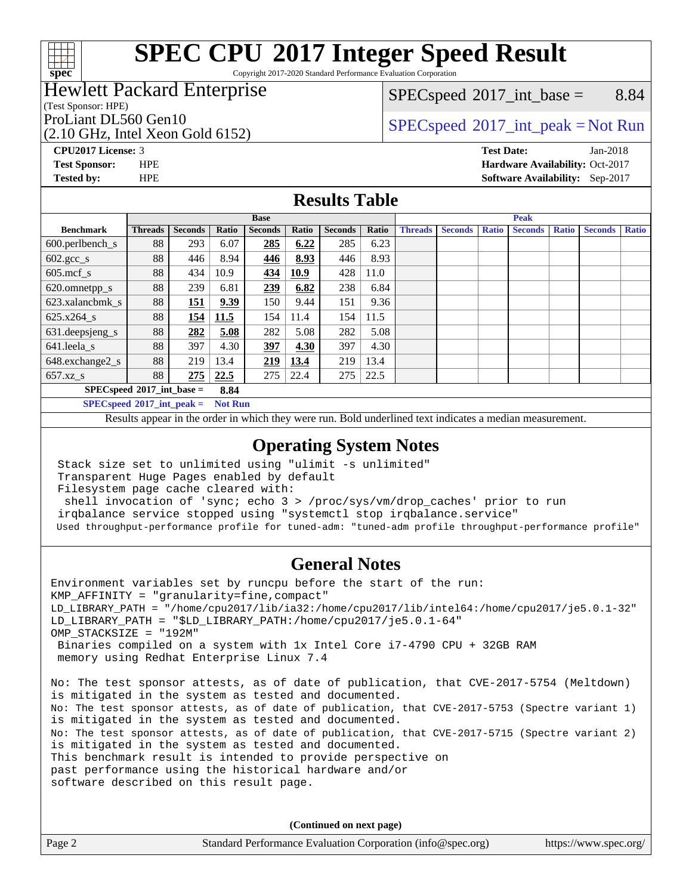#### $+\ +$ **[spec](http://www.spec.org/)**

# **[SPEC CPU](http://www.spec.org/auto/cpu2017/Docs/result-fields.html#SPECCPU2017IntegerSpeedResult)[2017 Integer Speed Result](http://www.spec.org/auto/cpu2017/Docs/result-fields.html#SPECCPU2017IntegerSpeedResult)**

Copyright 2017-2020 Standard Performance Evaluation Corporation

### Hewlett Packard Enterprise

#### (Test Sponsor: HPE)

(2.10 GHz, Intel Xeon Gold 6152)

 $SPECspeed^{\circ}2017\_int\_base =$  $SPECspeed^{\circ}2017\_int\_base =$  8.84

## ProLiant DL560 Gen10  $SPEC speed^{\circ}2017\_int\_peak = Not Run$

**[Tested by:](http://www.spec.org/auto/cpu2017/Docs/result-fields.html#Testedby)** HPE **[Software Availability:](http://www.spec.org/auto/cpu2017/Docs/result-fields.html#SoftwareAvailability)** Sep-2017

**[CPU2017 License:](http://www.spec.org/auto/cpu2017/Docs/result-fields.html#CPU2017License)** 3 **[Test Date:](http://www.spec.org/auto/cpu2017/Docs/result-fields.html#TestDate)** Jan-2018 **[Test Sponsor:](http://www.spec.org/auto/cpu2017/Docs/result-fields.html#TestSponsor)** HPE **[Hardware Availability:](http://www.spec.org/auto/cpu2017/Docs/result-fields.html#HardwareAvailability)** Oct-2017

#### **[Results Table](http://www.spec.org/auto/cpu2017/Docs/result-fields.html#ResultsTable)**

|                                     | <b>Base</b>    |                |       |                |       | <b>Peak</b>    |       |                |                |              |                |              |                |              |
|-------------------------------------|----------------|----------------|-------|----------------|-------|----------------|-------|----------------|----------------|--------------|----------------|--------------|----------------|--------------|
| <b>Benchmark</b>                    | <b>Threads</b> | <b>Seconds</b> | Ratio | <b>Seconds</b> | Ratio | <b>Seconds</b> | Ratio | <b>Threads</b> | <b>Seconds</b> | <b>Ratio</b> | <b>Seconds</b> | <b>Ratio</b> | <b>Seconds</b> | <b>Ratio</b> |
| $600.$ perlbench_s                  | 88             | 293            | 6.07  | 285            | 6.22  | 285            | 6.23  |                |                |              |                |              |                |              |
| $602.\text{gcc}\_\text{s}$          | 88             | 446            | 8.94  | 446            | 8.93  | 446            | 8.93  |                |                |              |                |              |                |              |
| $605$ .mcf s                        | 88             | 434            | 10.9  | 434            | 10.9  | 428            | 11.0  |                |                |              |                |              |                |              |
| 620.omnetpp_s                       | 88             | 239            | 6.81  | 239            | 6.82  | 238            | 6.84  |                |                |              |                |              |                |              |
| 623.xalancbmk s                     | 88             | 151            | 9.39  | 150            | 9.44  | 151            | 9.36  |                |                |              |                |              |                |              |
| 625.x264 s                          | 88             | 154            | 11.5  | 154            | 11.4  | 154            | 11.5  |                |                |              |                |              |                |              |
| 631.deepsjeng_s                     | 88             | 282            | 5.08  | 282            | 5.08  | 282            | 5.08  |                |                |              |                |              |                |              |
| $641.$ leela_s                      | 88             | 397            | 4.30  | 397            | 4.30  | 397            | 4.30  |                |                |              |                |              |                |              |
| 648.exchange2_s                     | 88             | 219            | 13.4  | <u>219</u>     | 13.4  | 219            | 13.4  |                |                |              |                |              |                |              |
| $657.xz$ s                          | 88             | 275            | 22.5  | 275            | 22.4  | 275            | 22.5  |                |                |              |                |              |                |              |
| $SPECspeed*2017$ int base =<br>8.84 |                |                |       |                |       |                |       |                |                |              |                |              |                |              |

**[SPECspeed](http://www.spec.org/auto/cpu2017/Docs/result-fields.html#SPECspeed2017intpeak)[2017\\_int\\_peak =](http://www.spec.org/auto/cpu2017/Docs/result-fields.html#SPECspeed2017intpeak) Not Run**

Results appear in the [order in which they were run.](http://www.spec.org/auto/cpu2017/Docs/result-fields.html#RunOrder) Bold underlined text [indicates a median measurement.](http://www.spec.org/auto/cpu2017/Docs/result-fields.html#Median)

#### **[Operating System Notes](http://www.spec.org/auto/cpu2017/Docs/result-fields.html#OperatingSystemNotes)**

Stack size set to unlimited using "ulimit -s unlimited"

 Transparent Huge Pages enabled by default Filesystem page cache cleared with:

shell invocation of 'sync; echo 3 > /proc/sys/vm/drop\_caches' prior to run

irqbalance service stopped using "systemctl stop irqbalance.service"

Used throughput-performance profile for tuned-adm: "tuned-adm profile throughput-performance profile"

#### **[General Notes](http://www.spec.org/auto/cpu2017/Docs/result-fields.html#GeneralNotes)**

Environment variables set by runcpu before the start of the run: KMP\_AFFINITY = "granularity=fine,compact" LD\_LIBRARY\_PATH = "/home/cpu2017/lib/ia32:/home/cpu2017/lib/intel64:/home/cpu2017/je5.0.1-32" LD\_LIBRARY\_PATH = "\$LD\_LIBRARY\_PATH:/home/cpu2017/je5.0.1-64" OMP\_STACKSIZE = "192M" Binaries compiled on a system with 1x Intel Core i7-4790 CPU + 32GB RAM memory using Redhat Enterprise Linux 7.4 No: The test sponsor attests, as of date of publication, that CVE-2017-5754 (Meltdown) is mitigated in the system as tested and documented. No: The test sponsor attests, as of date of publication, that CVE-2017-5753 (Spectre variant 1) is mitigated in the system as tested and documented. No: The test sponsor attests, as of date of publication, that CVE-2017-5715 (Spectre variant 2) is mitigated in the system as tested and documented. This benchmark result is intended to provide perspective on past performance using the historical hardware and/or software described on this result page.

**(Continued on next page)**

| Page 2 | Standard Performance Evaluation Corporation (info@spec.org) | https://www.spec.org/ |
|--------|-------------------------------------------------------------|-----------------------|
|        |                                                             |                       |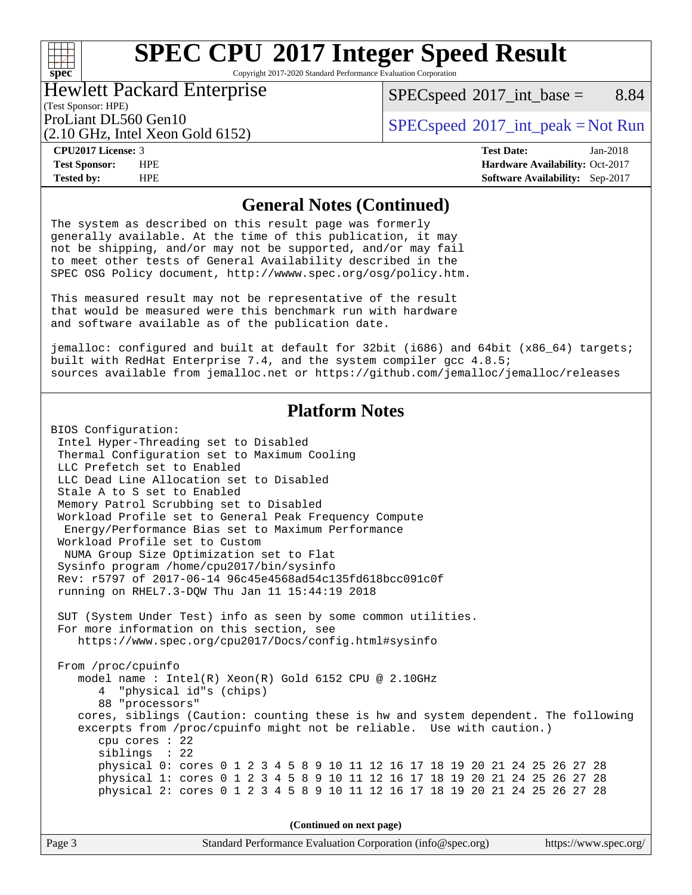#### $+\hskip -1.5pt +\hskip -1.5pt +$ **[spec](http://www.spec.org/)**

# **[SPEC CPU](http://www.spec.org/auto/cpu2017/Docs/result-fields.html#SPECCPU2017IntegerSpeedResult)[2017 Integer Speed Result](http://www.spec.org/auto/cpu2017/Docs/result-fields.html#SPECCPU2017IntegerSpeedResult)**

Copyright 2017-2020 Standard Performance Evaluation Corporation

#### Hewlett Packard Enterprise

 $SPECspeed^{\circ}2017\_int\_base =$  $SPECspeed^{\circ}2017\_int\_base =$  8.84

## (Test Sponsor: HPE)

(2.10 GHz, Intel Xeon Gold 6152)

ProLiant DL560 Gen10  $SPEC speed^{\circ}2017\_int\_peak = Not Run$ 

**[Tested by:](http://www.spec.org/auto/cpu2017/Docs/result-fields.html#Testedby)** HPE **[Software Availability:](http://www.spec.org/auto/cpu2017/Docs/result-fields.html#SoftwareAvailability)** Sep-2017

**[CPU2017 License:](http://www.spec.org/auto/cpu2017/Docs/result-fields.html#CPU2017License)** 3 **[Test Date:](http://www.spec.org/auto/cpu2017/Docs/result-fields.html#TestDate)** Jan-2018 **[Test Sponsor:](http://www.spec.org/auto/cpu2017/Docs/result-fields.html#TestSponsor)** HPE **[Hardware Availability:](http://www.spec.org/auto/cpu2017/Docs/result-fields.html#HardwareAvailability)** Oct-2017

#### **[General Notes \(Continued\)](http://www.spec.org/auto/cpu2017/Docs/result-fields.html#GeneralNotes)**

The system as described on this result page was formerly generally available. At the time of this publication, it may not be shipping, and/or may not be supported, and/or may fail to meet other tests of General Availability described in the SPEC OSG Policy document, <http://wwww.spec.org/osg/policy.htm.>

This measured result may not be representative of the result that would be measured were this benchmark run with hardware and software available as of the publication date.

jemalloc: configured and built at default for 32bit (i686) and 64bit (x86\_64) targets; built with RedHat Enterprise 7.4, and the system compiler gcc 4.8.5; sources available from jemalloc.net or <https://github.com/jemalloc/jemalloc/releases>

#### **[Platform Notes](http://www.spec.org/auto/cpu2017/Docs/result-fields.html#PlatformNotes)**

BIOS Configuration: Intel Hyper-Threading set to Disabled Thermal Configuration set to Maximum Cooling LLC Prefetch set to Enabled LLC Dead Line Allocation set to Disabled Stale A to S set to Enabled Memory Patrol Scrubbing set to Disabled Workload Profile set to General Peak Frequency Compute Energy/Performance Bias set to Maximum Performance Workload Profile set to Custom NUMA Group Size Optimization set to Flat Sysinfo program /home/cpu2017/bin/sysinfo Rev: r5797 of 2017-06-14 96c45e4568ad54c135fd618bcc091c0f running on RHEL7.3-DQW Thu Jan 11 15:44:19 2018 SUT (System Under Test) info as seen by some common utilities. For more information on this section, see <https://www.spec.org/cpu2017/Docs/config.html#sysinfo> From /proc/cpuinfo model name : Intel(R) Xeon(R) Gold 6152 CPU @ 2.10GHz 4 "physical id"s (chips) 88 "processors" cores, siblings (Caution: counting these is hw and system dependent. The following excerpts from /proc/cpuinfo might not be reliable. Use with caution.) cpu cores : 22 siblings : 22 physical 0: cores 0 1 2 3 4 5 8 9 10 11 12 16 17 18 19 20 21 24 25 26 27 28 physical 1: cores 0 1 2 3 4 5 8 9 10 11 12 16 17 18 19 20 21 24 25 26 27 28 physical 2: cores 0 1 2 3 4 5 8 9 10 11 12 16 17 18 19 20 21 24 25 26 27 28

**(Continued on next page)**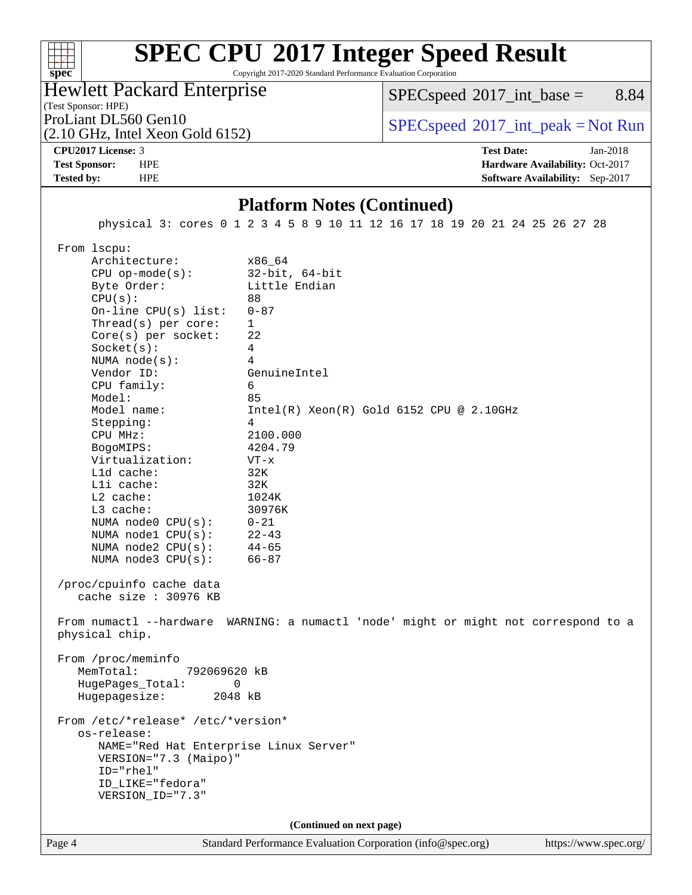## **[SPEC CPU](http://www.spec.org/auto/cpu2017/Docs/result-fields.html#SPECCPU2017IntegerSpeedResult)[2017 Integer Speed Result](http://www.spec.org/auto/cpu2017/Docs/result-fields.html#SPECCPU2017IntegerSpeedResult)**

Copyright 2017-2020 Standard Performance Evaluation Corporation

Hewlett Packard Enterprise

 $SPECspeed^{\circ}2017\_int\_base =$  $SPECspeed^{\circ}2017\_int\_base =$  8.84

### (Test Sponsor: HPE)

(2.10 GHz, Intel Xeon Gold 6152)

ProLiant DL560 Gen10  $SPEC speed^{\circ}2017\_int\_peak = Not Run$ 

**[spec](http://www.spec.org/)**

 $+\ +$ 

#### **[CPU2017 License:](http://www.spec.org/auto/cpu2017/Docs/result-fields.html#CPU2017License)** 3 **[Test Date:](http://www.spec.org/auto/cpu2017/Docs/result-fields.html#TestDate)** Jan-2018 **[Test Sponsor:](http://www.spec.org/auto/cpu2017/Docs/result-fields.html#TestSponsor)** HPE **[Hardware Availability:](http://www.spec.org/auto/cpu2017/Docs/result-fields.html#HardwareAvailability)** Oct-2017 **[Tested by:](http://www.spec.org/auto/cpu2017/Docs/result-fields.html#Testedby)** HPE **[Software Availability:](http://www.spec.org/auto/cpu2017/Docs/result-fields.html#SoftwareAvailability)** Sep-2017

**[Platform Notes \(Continued\)](http://www.spec.org/auto/cpu2017/Docs/result-fields.html#PlatformNotes)** physical 3: cores 0 1 2 3 4 5 8 9 10 11 12 16 17 18 19 20 21 24 25 26 27 28 From lscpu: Architecture: x86\_64 CPU op-mode(s): 32-bit, 64-bit Byte Order: Little Endian CPU(s): 88 On-line CPU(s) list: 0-87 Thread(s) per core: 1 Core(s) per socket: 22 Socket(s): 4 NUMA node(s): 4 Vendor ID: GenuineIntel CPU family: 6 Model: 85 Model name: Intel(R) Xeon(R) Gold 6152 CPU @ 2.10GHz Stepping: 4 CPU MHz: 2100.000 BogoMIPS: 4204.79 Virtualization: VT-x L1d cache: 32K L1i cache: 32K L2 cache: 1024K L3 cache: 30976K NUMA node0 CPU(s): 0-21 NUMA node1  $CPU(s):$  22-43<br>NUMA node2  $CPU(s):$  44-65 NUMA  $node2$   $CPU(s)$ : NUMA node3 CPU(s): 66-87 /proc/cpuinfo cache data cache size : 30976 KB From numactl --hardware WARNING: a numactl 'node' might or might not correspond to a physical chip. From /proc/meminfo MemTotal: 792069620 kB HugePages\_Total: 0 Hugepagesize: 2048 kB From /etc/\*release\* /etc/\*version\* os-release: NAME="Red Hat Enterprise Linux Server" VERSION="7.3 (Maipo)" ID="rhel" ID\_LIKE="fedora" VERSION\_ID="7.3" **(Continued on next page)**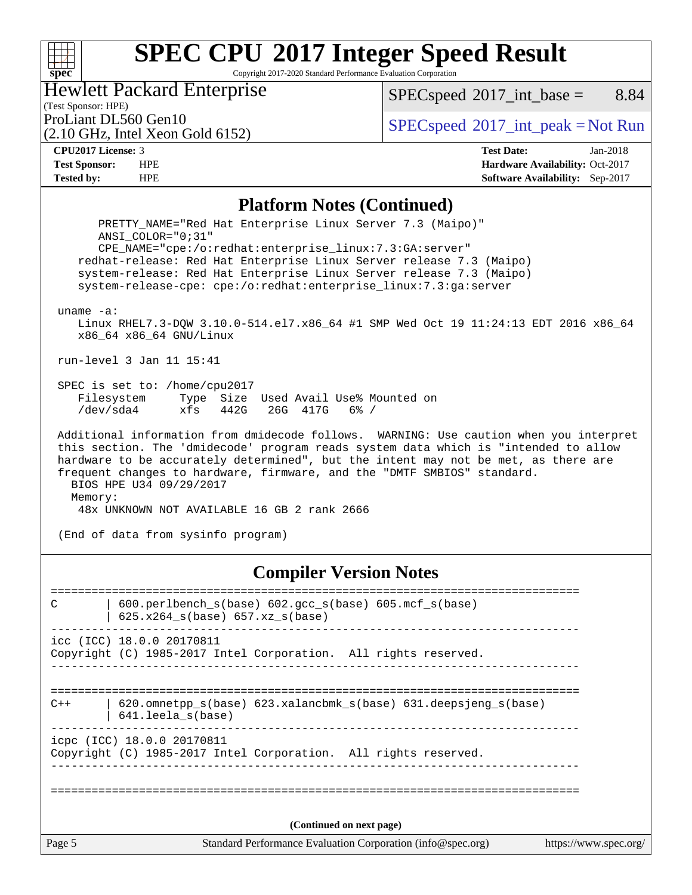## **[SPEC CPU](http://www.spec.org/auto/cpu2017/Docs/result-fields.html#SPECCPU2017IntegerSpeedResult)[2017 Integer Speed Result](http://www.spec.org/auto/cpu2017/Docs/result-fields.html#SPECCPU2017IntegerSpeedResult)**

Copyright 2017-2020 Standard Performance Evaluation Corporation

Hewlett Packard Enterprise

 $SPECspeed^{\circledcirc}2017\_int\_base =$  $SPECspeed^{\circledcirc}2017\_int\_base =$  8.84

### (Test Sponsor: HPE)

(2.10 GHz, Intel Xeon Gold 6152)

ProLiant DL560 Gen10<br>  $\begin{array}{c}\n\text{SPEC speed} \text{?}2017\_int\_peak = Not Run \\
\text{SPEC speed} \text{?}2017\_int\_peak = Not Run\n\end{array}$ 

**[spec](http://www.spec.org/)**

**[CPU2017 License:](http://www.spec.org/auto/cpu2017/Docs/result-fields.html#CPU2017License)** 3 **[Test Date:](http://www.spec.org/auto/cpu2017/Docs/result-fields.html#TestDate)** Jan-2018 **[Test Sponsor:](http://www.spec.org/auto/cpu2017/Docs/result-fields.html#TestSponsor)** HPE **[Hardware Availability:](http://www.spec.org/auto/cpu2017/Docs/result-fields.html#HardwareAvailability)** Oct-2017 **[Tested by:](http://www.spec.org/auto/cpu2017/Docs/result-fields.html#Testedby)** HPE **[Software Availability:](http://www.spec.org/auto/cpu2017/Docs/result-fields.html#SoftwareAvailability)** Sep-2017

#### **[Platform Notes \(Continued\)](http://www.spec.org/auto/cpu2017/Docs/result-fields.html#PlatformNotes)**

(End of data from sysinfo program)

#### **[Compiler Version Notes](http://www.spec.org/auto/cpu2017/Docs/result-fields.html#CompilerVersionNotes)**

Page 5 Standard Performance Evaluation Corporation [\(info@spec.org\)](mailto:info@spec.org) <https://www.spec.org/> ============================================================================== C | 600.perlbench\_s(base) 602.gcc\_s(base) 605.mcf\_s(base) | 625.x264\_s(base) 657.xz\_s(base) ----------------------------------------------------------------------------- icc (ICC) 18.0.0 20170811 Copyright (C) 1985-2017 Intel Corporation. All rights reserved. ------------------------------------------------------------------------------ ============================================================================== C++ | 620.omnetpp\_s(base) 623.xalancbmk\_s(base) 631.deepsjeng\_s(base) | 641.leela\_s(base) ----------------------------------------------------------------------------- icpc (ICC) 18.0.0 20170811 Copyright (C) 1985-2017 Intel Corporation. All rights reserved. ------------------------------------------------------------------------------ ============================================================================== **(Continued on next page)**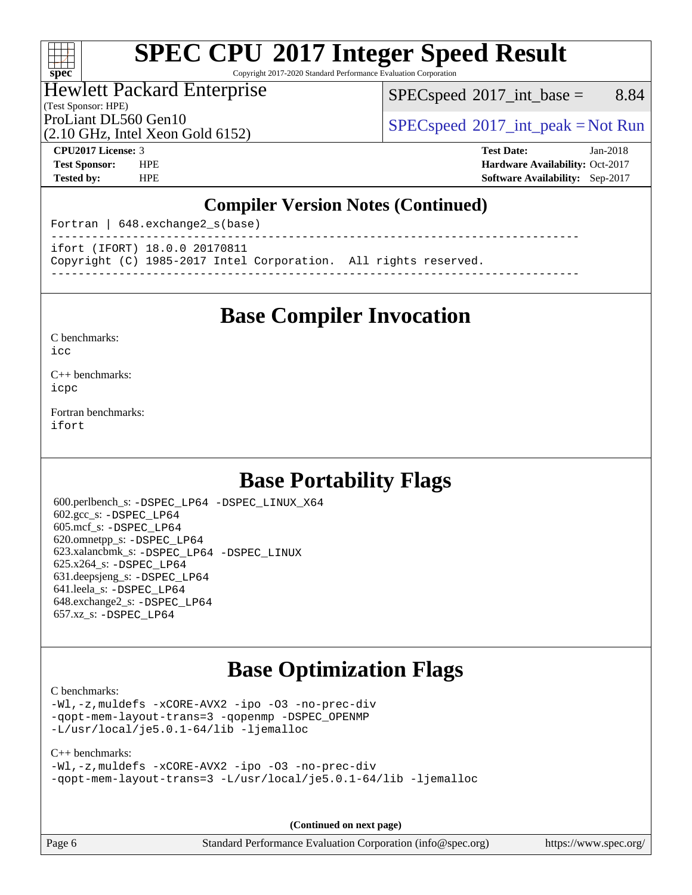# **[SPEC CPU](http://www.spec.org/auto/cpu2017/Docs/result-fields.html#SPECCPU2017IntegerSpeedResult)[2017 Integer Speed Result](http://www.spec.org/auto/cpu2017/Docs/result-fields.html#SPECCPU2017IntegerSpeedResult)**

Copyright 2017-2020 Standard Performance Evaluation Corporation

#### Hewlett Packard Enterprise

(Test Sponsor: HPE)

 $SPECspeed^{\circ}2017\_int\_base =$  $SPECspeed^{\circ}2017\_int\_base =$  8.84

(2.10 GHz, Intel Xeon Gold 6152)

ProLiant DL560 Gen10  $SPEC speed^{\circ}2017\_int\_peak = Not Run$ 

**[spec](http://www.spec.org/)**

 $+\ +$ 

**[CPU2017 License:](http://www.spec.org/auto/cpu2017/Docs/result-fields.html#CPU2017License)** 3 **[Test Date:](http://www.spec.org/auto/cpu2017/Docs/result-fields.html#TestDate)** Jan-2018 **[Test Sponsor:](http://www.spec.org/auto/cpu2017/Docs/result-fields.html#TestSponsor)** HPE **[Hardware Availability:](http://www.spec.org/auto/cpu2017/Docs/result-fields.html#HardwareAvailability)** Oct-2017 **[Tested by:](http://www.spec.org/auto/cpu2017/Docs/result-fields.html#Testedby)** HPE **[Software Availability:](http://www.spec.org/auto/cpu2017/Docs/result-fields.html#SoftwareAvailability)** Sep-2017

#### **[Compiler Version Notes \(Continued\)](http://www.spec.org/auto/cpu2017/Docs/result-fields.html#CompilerVersionNotes)**

Fortran | 648.exchange2\_s(base)

----------------------------------------------------------------------------- ifort (IFORT) 18.0.0 20170811

Copyright (C) 1985-2017 Intel Corporation. All rights reserved.

**[Base Compiler Invocation](http://www.spec.org/auto/cpu2017/Docs/result-fields.html#BaseCompilerInvocation)**

------------------------------------------------------------------------------

[C benchmarks](http://www.spec.org/auto/cpu2017/Docs/result-fields.html#Cbenchmarks):  $i$ cc

[C++ benchmarks:](http://www.spec.org/auto/cpu2017/Docs/result-fields.html#CXXbenchmarks) [icpc](http://www.spec.org/cpu2017/results/res2018q2/cpu2017-20180219-03708.flags.html#user_CXXbase_intel_icpc_18.0_c510b6838c7f56d33e37e94d029a35b4a7bccf4766a728ee175e80a419847e808290a9b78be685c44ab727ea267ec2f070ec5dc83b407c0218cded6866a35d07)

[Fortran benchmarks](http://www.spec.org/auto/cpu2017/Docs/result-fields.html#Fortranbenchmarks): [ifort](http://www.spec.org/cpu2017/results/res2018q2/cpu2017-20180219-03708.flags.html#user_FCbase_intel_ifort_18.0_8111460550e3ca792625aed983ce982f94888b8b503583aa7ba2b8303487b4d8a21a13e7191a45c5fd58ff318f48f9492884d4413fa793fd88dd292cad7027ca)

## **[Base Portability Flags](http://www.spec.org/auto/cpu2017/Docs/result-fields.html#BasePortabilityFlags)**

 600.perlbench\_s: [-DSPEC\\_LP64](http://www.spec.org/cpu2017/results/res2018q2/cpu2017-20180219-03708.flags.html#b600.perlbench_s_basePORTABILITY_DSPEC_LP64) [-DSPEC\\_LINUX\\_X64](http://www.spec.org/cpu2017/results/res2018q2/cpu2017-20180219-03708.flags.html#b600.perlbench_s_baseCPORTABILITY_DSPEC_LINUX_X64) 602.gcc\_s: [-DSPEC\\_LP64](http://www.spec.org/cpu2017/results/res2018q2/cpu2017-20180219-03708.flags.html#suite_basePORTABILITY602_gcc_s_DSPEC_LP64) 605.mcf\_s: [-DSPEC\\_LP64](http://www.spec.org/cpu2017/results/res2018q2/cpu2017-20180219-03708.flags.html#suite_basePORTABILITY605_mcf_s_DSPEC_LP64) 620.omnetpp\_s: [-DSPEC\\_LP64](http://www.spec.org/cpu2017/results/res2018q2/cpu2017-20180219-03708.flags.html#suite_basePORTABILITY620_omnetpp_s_DSPEC_LP64) 623.xalancbmk\_s: [-DSPEC\\_LP64](http://www.spec.org/cpu2017/results/res2018q2/cpu2017-20180219-03708.flags.html#suite_basePORTABILITY623_xalancbmk_s_DSPEC_LP64) [-DSPEC\\_LINUX](http://www.spec.org/cpu2017/results/res2018q2/cpu2017-20180219-03708.flags.html#b623.xalancbmk_s_baseCXXPORTABILITY_DSPEC_LINUX) 625.x264\_s: [-DSPEC\\_LP64](http://www.spec.org/cpu2017/results/res2018q2/cpu2017-20180219-03708.flags.html#suite_basePORTABILITY625_x264_s_DSPEC_LP64) 631.deepsjeng\_s: [-DSPEC\\_LP64](http://www.spec.org/cpu2017/results/res2018q2/cpu2017-20180219-03708.flags.html#suite_basePORTABILITY631_deepsjeng_s_DSPEC_LP64) 641.leela\_s: [-DSPEC\\_LP64](http://www.spec.org/cpu2017/results/res2018q2/cpu2017-20180219-03708.flags.html#suite_basePORTABILITY641_leela_s_DSPEC_LP64) 648.exchange2\_s: [-DSPEC\\_LP64](http://www.spec.org/cpu2017/results/res2018q2/cpu2017-20180219-03708.flags.html#suite_basePORTABILITY648_exchange2_s_DSPEC_LP64) 657.xz\_s: [-DSPEC\\_LP64](http://www.spec.org/cpu2017/results/res2018q2/cpu2017-20180219-03708.flags.html#suite_basePORTABILITY657_xz_s_DSPEC_LP64)

## **[Base Optimization Flags](http://www.spec.org/auto/cpu2017/Docs/result-fields.html#BaseOptimizationFlags)**

#### [C benchmarks](http://www.spec.org/auto/cpu2017/Docs/result-fields.html#Cbenchmarks):

[-Wl,-z,muldefs](http://www.spec.org/cpu2017/results/res2018q2/cpu2017-20180219-03708.flags.html#user_CCbase_link_force_multiple1_b4cbdb97b34bdee9ceefcfe54f4c8ea74255f0b02a4b23e853cdb0e18eb4525ac79b5a88067c842dd0ee6996c24547a27a4b99331201badda8798ef8a743f577) [-xCORE-AVX2](http://www.spec.org/cpu2017/results/res2018q2/cpu2017-20180219-03708.flags.html#user_CCbase_f-xCORE-AVX2) [-ipo](http://www.spec.org/cpu2017/results/res2018q2/cpu2017-20180219-03708.flags.html#user_CCbase_f-ipo) [-O3](http://www.spec.org/cpu2017/results/res2018q2/cpu2017-20180219-03708.flags.html#user_CCbase_f-O3) [-no-prec-div](http://www.spec.org/cpu2017/results/res2018q2/cpu2017-20180219-03708.flags.html#user_CCbase_f-no-prec-div) [-qopt-mem-layout-trans=3](http://www.spec.org/cpu2017/results/res2018q2/cpu2017-20180219-03708.flags.html#user_CCbase_f-qopt-mem-layout-trans_de80db37974c74b1f0e20d883f0b675c88c3b01e9d123adea9b28688d64333345fb62bc4a798493513fdb68f60282f9a726aa07f478b2f7113531aecce732043) [-qopenmp](http://www.spec.org/cpu2017/results/res2018q2/cpu2017-20180219-03708.flags.html#user_CCbase_qopenmp_16be0c44f24f464004c6784a7acb94aca937f053568ce72f94b139a11c7c168634a55f6653758ddd83bcf7b8463e8028bb0b48b77bcddc6b78d5d95bb1df2967) [-DSPEC\\_OPENMP](http://www.spec.org/cpu2017/results/res2018q2/cpu2017-20180219-03708.flags.html#suite_CCbase_DSPEC_OPENMP) [-L/usr/local/je5.0.1-64/lib](http://www.spec.org/cpu2017/results/res2018q2/cpu2017-20180219-03708.flags.html#user_CCbase_jemalloc_link_path64_4b10a636b7bce113509b17f3bd0d6226c5fb2346b9178c2d0232c14f04ab830f976640479e5c33dc2bcbbdad86ecfb6634cbbd4418746f06f368b512fced5394) [-ljemalloc](http://www.spec.org/cpu2017/results/res2018q2/cpu2017-20180219-03708.flags.html#user_CCbase_jemalloc_link_lib_d1249b907c500fa1c0672f44f562e3d0f79738ae9e3c4a9c376d49f265a04b9c99b167ecedbf6711b3085be911c67ff61f150a17b3472be731631ba4d0471706)

#### [C++ benchmarks:](http://www.spec.org/auto/cpu2017/Docs/result-fields.html#CXXbenchmarks)

[-Wl,-z,muldefs](http://www.spec.org/cpu2017/results/res2018q2/cpu2017-20180219-03708.flags.html#user_CXXbase_link_force_multiple1_b4cbdb97b34bdee9ceefcfe54f4c8ea74255f0b02a4b23e853cdb0e18eb4525ac79b5a88067c842dd0ee6996c24547a27a4b99331201badda8798ef8a743f577) [-xCORE-AVX2](http://www.spec.org/cpu2017/results/res2018q2/cpu2017-20180219-03708.flags.html#user_CXXbase_f-xCORE-AVX2) [-ipo](http://www.spec.org/cpu2017/results/res2018q2/cpu2017-20180219-03708.flags.html#user_CXXbase_f-ipo) [-O3](http://www.spec.org/cpu2017/results/res2018q2/cpu2017-20180219-03708.flags.html#user_CXXbase_f-O3) [-no-prec-div](http://www.spec.org/cpu2017/results/res2018q2/cpu2017-20180219-03708.flags.html#user_CXXbase_f-no-prec-div) [-qopt-mem-layout-trans=3](http://www.spec.org/cpu2017/results/res2018q2/cpu2017-20180219-03708.flags.html#user_CXXbase_f-qopt-mem-layout-trans_de80db37974c74b1f0e20d883f0b675c88c3b01e9d123adea9b28688d64333345fb62bc4a798493513fdb68f60282f9a726aa07f478b2f7113531aecce732043) [-L/usr/local/je5.0.1-64/lib](http://www.spec.org/cpu2017/results/res2018q2/cpu2017-20180219-03708.flags.html#user_CXXbase_jemalloc_link_path64_4b10a636b7bce113509b17f3bd0d6226c5fb2346b9178c2d0232c14f04ab830f976640479e5c33dc2bcbbdad86ecfb6634cbbd4418746f06f368b512fced5394) [-ljemalloc](http://www.spec.org/cpu2017/results/res2018q2/cpu2017-20180219-03708.flags.html#user_CXXbase_jemalloc_link_lib_d1249b907c500fa1c0672f44f562e3d0f79738ae9e3c4a9c376d49f265a04b9c99b167ecedbf6711b3085be911c67ff61f150a17b3472be731631ba4d0471706)

**(Continued on next page)**

Page 6 Standard Performance Evaluation Corporation [\(info@spec.org\)](mailto:info@spec.org) <https://www.spec.org/>